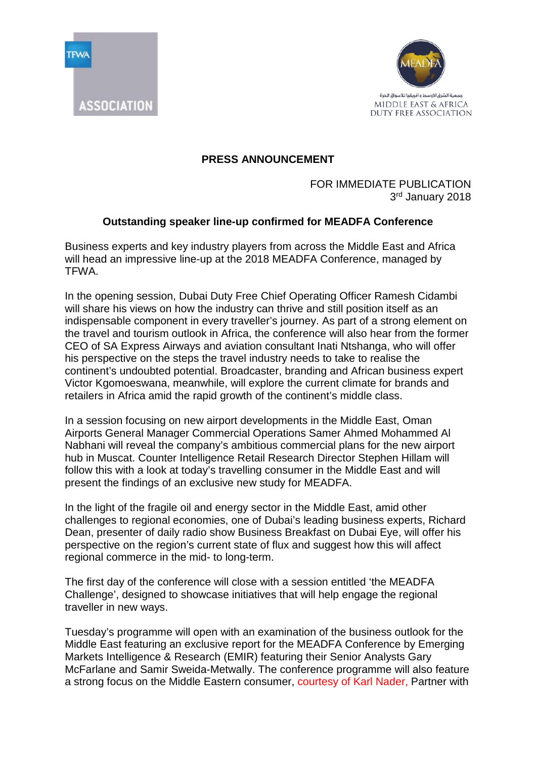

ASSOCIATION



## **PRESS ANNOUNCEMENT**

FOR IMMEDIATE PUBLICATION 3rd January 2018

## **Outstanding speaker line-up confirmed for MEADFA Conference**

Business experts and key industry players from across the Middle East and Africa will head an impressive line-up at the 2018 MEADFA Conference, managed by TFWA.

In the opening session, Dubai Duty Free Chief Operating Officer Ramesh Cidambi will share his views on how the industry can thrive and still position itself as an indispensable component in every traveller's journey. As part of a strong element on the travel and tourism outlook in Africa, the conference will also hear from the former CEO of SA Express Airways and aviation consultant Inati Ntshanga, who will offer his perspective on the steps the travel industry needs to take to realise the continent's undoubted potential. Broadcaster, branding and African business expert Victor Kgomoeswana, meanwhile, will explore the current climate for brands and retailers in Africa amid the rapid growth of the continent's middle class.

In a session focusing on new airport developments in the Middle East, Oman Airports General Manager Commercial Operations Samer Ahmed Mohammed Al Nabhani will reveal the company's ambitious commercial plans for the new airport hub in Muscat. Counter Intelligence Retail Research Director Stephen Hillam will follow this with a look at today's travelling consumer in the Middle East and will present the findings of an exclusive new study for MEADFA.

In the light of the fragile oil and energy sector in the Middle East, amid other challenges to regional economies, one of Dubai's leading business experts, Richard Dean, presenter of daily radio show Business Breakfast on Dubai Eye, will offer his perspective on the region's current state of flux and suggest how this will affect regional commerce in the mid- to long-term.

The first day of the conference will close with a session entitled 'the MEADFA Challenge', designed to showcase initiatives that will help engage the regional traveller in new ways.

Tuesday's programme will open with an examination of the business outlook for the Middle East featuring an exclusive report for the MEADFA Conference by Emerging Markets Intelligence & Research (EMIR) featuring their Senior Analysts Gary McFarlane and Samir Sweida-Metwally. The conference programme will also feature a strong focus on the Middle Eastern consumer, courtesy of Karl Nader, Partner with